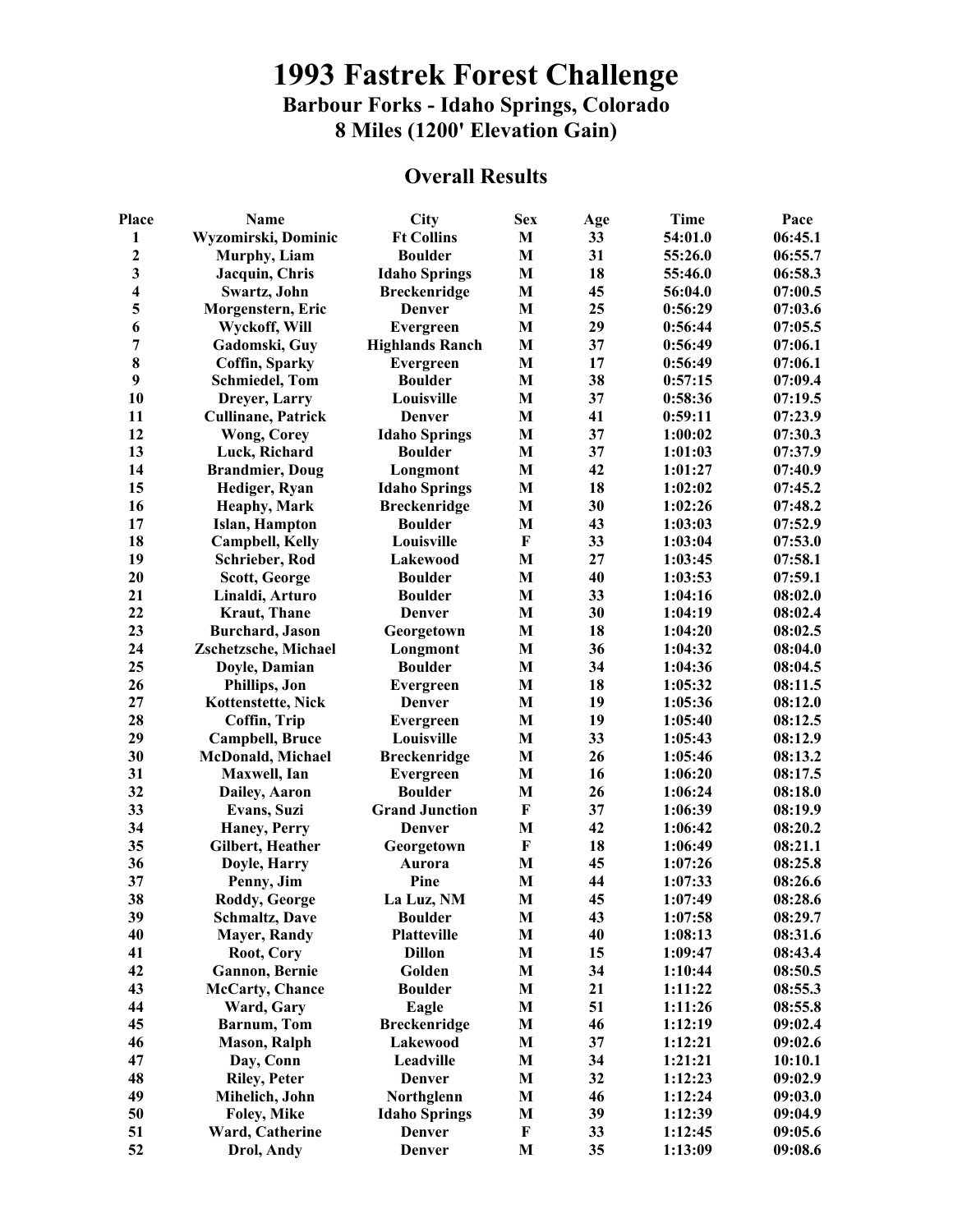## **1993 Fastrek Forest Challenge Barbour Forks - Idaho Springs, Colorado 8 Miles (1200' Elevation Gain)**

## **Overall Results**

| Place                   | Name                      | City                   | <b>Sex</b>   | Age | <b>Time</b> | Pace    |
|-------------------------|---------------------------|------------------------|--------------|-----|-------------|---------|
| 1                       | Wyzomirski, Dominic       | <b>Ft Collins</b>      | M            | 33  | 54:01.0     | 06:45.1 |
| $\mathbf{2}$            | Murphy, Liam              | <b>Boulder</b>         | $\bf{M}$     | 31  | 55:26.0     | 06:55.7 |
| 3                       | Jacquin, Chris            | <b>Idaho Springs</b>   | M            | 18  | 55:46.0     | 06:58.3 |
| $\overline{\mathbf{4}}$ | Swartz, John              | <b>Breckenridge</b>    | $\mathbf{M}$ | 45  | 56:04.0     | 07:00.5 |
| 5                       | Morgenstern, Eric         | <b>Denver</b>          | M            | 25  | 0:56:29     | 07:03.6 |
| 6                       | Wyckoff, Will             | Evergreen              | M            | 29  | 0:56:44     | 07:05.5 |
| 7                       | Gadomski, Guy             | <b>Highlands Ranch</b> | $\mathbf{M}$ | 37  | 0:56:49     | 07:06.1 |
| 8                       | Coffin, Sparky            | Evergreen              | $\bf{M}$     | 17  | 0:56:49     | 07:06.1 |
| 9                       | <b>Schmiedel</b> , Tom    | <b>Boulder</b>         | M            | 38  | 0:57:15     | 07:09.4 |
| 10                      | Dreyer, Larry             | Louisville             | M            | 37  | 0:58:36     | 07:19.5 |
| 11                      | <b>Cullinane, Patrick</b> | Denver                 | $\mathbf{M}$ | 41  | 0:59:11     | 07:23.9 |
| 12                      | <b>Wong, Corey</b>        | <b>Idaho Springs</b>   | $\bf{M}$     | 37  | 1:00:02     | 07:30.3 |
| 13                      | Luck, Richard             | <b>Boulder</b>         | $\bf{M}$     | 37  | 1:01:03     | 07:37.9 |
| 14                      | <b>Brandmier, Doug</b>    | Longmont               | M            | 42  | 1:01:27     | 07:40.9 |
| 15                      | Hediger, Ryan             | <b>Idaho Springs</b>   | $\bf{M}$     | 18  | 1:02:02     | 07:45.2 |
| 16                      | <b>Heaphy, Mark</b>       | <b>Breckenridge</b>    | M            | 30  | 1:02:26     | 07:48.2 |
| 17                      | Islan, Hampton            | <b>Boulder</b>         | M            | 43  | 1:03:03     | 07:52.9 |
| 18                      | <b>Campbell, Kelly</b>    | Louisville             | $\mathbf{F}$ | 33  | 1:03:04     | 07:53.0 |
| 19                      | Schrieber, Rod            | Lakewood               | M            | 27  | 1:03:45     | 07:58.1 |
| 20                      | Scott, George             | <b>Boulder</b>         | M            | 40  | 1:03:53     | 07:59.1 |
| 21                      | Linaldi, Arturo           | <b>Boulder</b>         | $\mathbf{M}$ | 33  | 1:04:16     | 08:02.0 |
| 22                      | <b>Kraut</b> , Thane      | <b>Denver</b>          | M            | 30  | 1:04:19     | 08:02.4 |
| 23                      | <b>Burchard</b> , Jason   | Georgetown             | M            | 18  | 1:04:20     | 08:02.5 |
| 24                      | Zschetzsche, Michael      | Longmont               | M            | 36  | 1:04:32     | 08:04.0 |
| 25                      | Doyle, Damian             | <b>Boulder</b>         | M            | 34  | 1:04:36     | 08:04.5 |
| 26                      | Phillips, Jon             | Evergreen              | M            | 18  | 1:05:32     | 08:11.5 |
| 27                      | Kottenstette, Nick        | <b>Denver</b>          | $\bf{M}$     | 19  | 1:05:36     | 08:12.0 |
| 28                      | Coffin, Trip              | Evergreen              | $\mathbf{M}$ | 19  | 1:05:40     | 08:12.5 |
| 29                      | Campbell, Bruce           | Louisville             | M            | 33  | 1:05:43     | 08:12.9 |
| 30                      | McDonald, Michael         | <b>Breckenridge</b>    | M            | 26  | 1:05:46     | 08:13.2 |
| 31                      | Maxwell, Ian              | Evergreen              | $\bf{M}$     | 16  | 1:06:20     | 08:17.5 |
| 32                      | Dailey, Aaron             | <b>Boulder</b>         | M            | 26  | 1:06:24     | 08:18.0 |
| 33                      | Evans, Suzi               | <b>Grand Junction</b>  | $\mathbf F$  | 37  | 1:06:39     | 08:19.9 |
| 34                      | Haney, Perry              | <b>Denver</b>          | $\bf{M}$     | 42  | 1:06:42     | 08:20.2 |
| 35                      | Gilbert, Heather          | Georgetown             | $\bf F$      | 18  | 1:06:49     | 08:21.1 |
| 36                      | Doyle, Harry              | Aurora                 | $\bf{M}$     | 45  | 1:07:26     | 08:25.8 |
| 37                      | Penny, Jim                | Pine                   | $\bf{M}$     | 44  | 1:07:33     | 08:26.6 |
| 38                      | Roddy, George             | La Luz, NM             | $\mathbf{M}$ | 45  | 1:07:49     | 08:28.6 |
| 39                      | <b>Schmaltz, Dave</b>     | <b>Boulder</b>         | M            | 43  | 1:07:58     | 08:29.7 |
| 40                      | <b>Mayer, Randy</b>       | Platteville            | M            | 40  | 1:08:13     | 08:31.6 |
| 41                      | Root, Cory                | <b>Dillon</b>          | M            | 15  | 1:09:47     | 08:43.4 |
| 42                      | Gannon, Bernie            | Golden                 | M            | 34  | 1:10:44     | 08:50.5 |
| 43                      |                           | <b>Boulder</b>         |              | 21  |             | 08:55.3 |
|                         | <b>McCarty</b> , Chance   |                        | $\mathbf M$  |     | 1:11:22     |         |
| 44                      | Ward, Gary                | Eagle                  | M            | 51  | 1:11:26     | 08:55.8 |
| 45                      | <b>Barnum</b> , Tom       | <b>Breckenridge</b>    | $\mathbf{M}$ | 46  | 1:12:19     | 09:02.4 |
| 46                      | <b>Mason</b> , Ralph      | Lakewood               | M            | 37  | 1:12:21     | 09:02.6 |
| 47                      | Day, Conn                 | Leadville              | M            | 34  | 1:21:21     | 10:10.1 |
| 48                      | <b>Riley, Peter</b>       | <b>Denver</b>          | M            | 32  | 1:12:23     | 09:02.9 |
| 49                      | Mihelich, John            | Northglenn             | M            | 46  | 1:12:24     | 09:03.0 |
| 50                      | Foley, Mike               | <b>Idaho Springs</b>   | M            | 39  | 1:12:39     | 09:04.9 |
| 51                      | Ward, Catherine           | Denver                 | $\mathbf{F}$ | 33  | 1:12:45     | 09:05.6 |
| 52                      | Drol, Andy                | Denver                 | M            | 35  | 1:13:09     | 09:08.6 |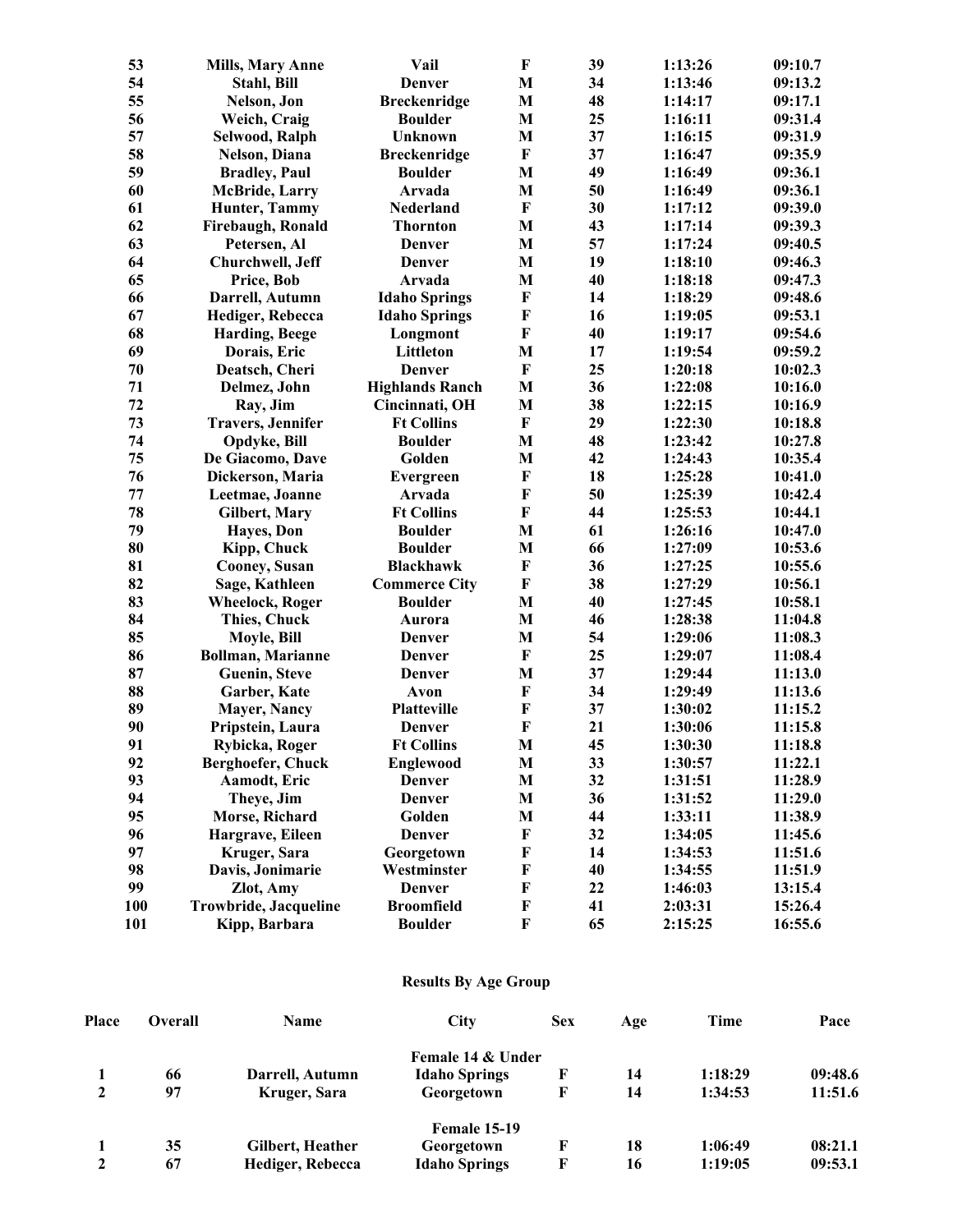| 53  | <b>Mills, Mary Anne</b>  | Vail                   | F                         | 39 | 1:13:26 | 09:10.7 |
|-----|--------------------------|------------------------|---------------------------|----|---------|---------|
| 54  | Stahl, Bill              | <b>Denver</b>          | $\mathbf{M}$              | 34 | 1:13:46 | 09:13.2 |
| 55  | Nelson, Jon              | <b>Breckenridge</b>    | M                         | 48 | 1:14:17 | 09:17.1 |
| 56  | Weich, Craig             | <b>Boulder</b>         | M                         | 25 | 1:16:11 | 09:31.4 |
| 57  | Selwood, Ralph           | Unknown                | M                         | 37 | 1:16:15 | 09:31.9 |
| 58  | Nelson, Diana            | <b>Breckenridge</b>    | $\bf F$                   | 37 | 1:16:47 | 09:35.9 |
| 59  | <b>Bradley</b> , Paul    | <b>Boulder</b>         | M                         | 49 | 1:16:49 | 09:36.1 |
| 60  | <b>McBride, Larry</b>    | Arvada                 | M                         | 50 | 1:16:49 | 09:36.1 |
| 61  | Hunter, Tammy            | Nederland              | $\bf F$                   | 30 | 1:17:12 | 09:39.0 |
| 62  | Firebaugh, Ronald        | <b>Thornton</b>        | M                         | 43 | 1:17:14 | 09:39.3 |
| 63  | Petersen, Al             | <b>Denver</b>          | $\mathbf{M}$              | 57 | 1:17:24 | 09:40.5 |
| 64  | Churchwell, Jeff         | <b>Denver</b>          | M                         | 19 | 1:18:10 | 09:46.3 |
| 65  | Price, Bob               | Arvada                 | M                         | 40 | 1:18:18 | 09:47.3 |
| 66  | Darrell, Autumn          | <b>Idaho Springs</b>   | $\bf F$                   | 14 | 1:18:29 | 09:48.6 |
| 67  | Hediger, Rebecca         | <b>Idaho Springs</b>   | $\boldsymbol{\mathrm{F}}$ | 16 | 1:19:05 | 09:53.1 |
| 68  | Harding, Beege           | Longmont               | $\mathbf F$               | 40 | 1:19:17 | 09:54.6 |
| 69  | Dorais, Eric             | Littleton              | M                         | 17 | 1:19:54 | 09:59.2 |
| 70  | Deatsch, Cheri           | <b>Denver</b>          | $\bf F$                   | 25 | 1:20:18 | 10:02.3 |
| 71  | Delmez, John             | <b>Highlands Ranch</b> | M                         | 36 | 1:22:08 | 10:16.0 |
| 72  | Ray, Jim                 | Cincinnati, OH         | M                         | 38 | 1:22:15 | 10:16.9 |
| 73  | <b>Travers, Jennifer</b> | <b>Ft Collins</b>      | $\mathbf{F}$              | 29 | 1:22:30 | 10:18.8 |
| 74  | Opdyke, Bill             | <b>Boulder</b>         | M                         | 48 | 1:23:42 | 10:27.8 |
| 75  | De Giacomo, Dave         | Golden                 | M                         | 42 | 1:24:43 | 10:35.4 |
| 76  | Dickerson, Maria         | Evergreen              | $\bf F$                   | 18 | 1:25:28 | 10:41.0 |
| 77  | Leetmae, Joanne          | Arvada                 | $\bf F$                   | 50 | 1:25:39 | 10:42.4 |
| 78  | Gilbert, Mary            | <b>Ft Collins</b>      | $\bf F$                   | 44 | 1:25:53 | 10:44.1 |
| 79  | <b>Hayes</b> , Don       | <b>Boulder</b>         | $\mathbf{M}$              | 61 | 1:26:16 | 10:47.0 |
| 80  | Kipp, Chuck              | <b>Boulder</b>         | M                         | 66 | 1:27:09 | 10:53.6 |
| 81  | <b>Cooney, Susan</b>     | <b>Blackhawk</b>       | $\bf F$                   | 36 | 1:27:25 | 10:55.6 |
| 82  | Sage, Kathleen           | <b>Commerce City</b>   | $\mathbf F$               | 38 | 1:27:29 | 10:56.1 |
| 83  | <b>Wheelock, Roger</b>   | <b>Boulder</b>         | M                         | 40 | 1:27:45 | 10:58.1 |
| 84  | <b>Thies, Chuck</b>      | Aurora                 | M                         | 46 | 1:28:38 | 11:04.8 |
| 85  | Moyle, Bill              | <b>Denver</b>          | M                         | 54 | 1:29:06 | 11:08.3 |
| 86  | <b>Bollman, Marianne</b> | <b>Denver</b>          | $\bf F$                   | 25 | 1:29:07 | 11:08.4 |
| 87  | <b>Guenin</b> , Steve    | <b>Denver</b>          | M                         | 37 | 1:29:44 | 11:13.0 |
| 88  | Garber, Kate             | Avon                   | $\mathbf F$               | 34 | 1:29:49 | 11:13.6 |
| 89  | <b>Mayer, Nancy</b>      | Platteville            | ${\bf F}$                 | 37 | 1:30:02 | 11:15.2 |
| 90  | Pripstein, Laura         | <b>Denver</b>          | $\mathbf{F}$              | 21 | 1:30:06 | 11:15.8 |
| 91  | Rybicka, Roger           | <b>Ft Collins</b>      | $\mathbf{M}$              | 45 | 1:30:30 | 11:18.8 |
| 92  | Berghoefer, Chuck        | Englewood              | M                         | 33 | 1:30:57 | 11:22.1 |
| 93  | Aamodt, Eric             | Denver                 | $\mathbf{M}$              | 32 | 1:31:51 | 11:28.9 |
| 94  | Theye, Jim               | <b>Denver</b>          | $\mathbf{M}$              | 36 | 1:31:52 | 11:29.0 |
| 95  | Morse, Richard           | Golden                 | $\mathbf{M}$              | 44 | 1:33:11 | 11:38.9 |
| 96  | Hargrave, Eileen         | Denver                 | $\bf F$                   | 32 | 1:34:05 | 11:45.6 |
| 97  | Kruger, Sara             | Georgetown             | F                         | 14 | 1:34:53 | 11:51.6 |
| 98  | Davis, Jonimarie         | Westminster            | F                         | 40 | 1:34:55 | 11:51.9 |
| 99  | Zlot, Amy                | Denver                 | F                         | 22 | 1:46:03 | 13:15.4 |
| 100 | Trowbride, Jacqueline    | <b>Broomfield</b>      | F                         | 41 | 2:03:31 | 15:26.4 |
| 101 | Kipp, Barbara            | <b>Boulder</b>         | $\mathbf F$               | 65 | 2:15:25 | 16:55.6 |

## **Results By Age Group**

| Place        | Overall | Name             | <b>City</b>          | <b>Sex</b> | Age | Time    | Pace    |
|--------------|---------|------------------|----------------------|------------|-----|---------|---------|
|              |         |                  | Female 14 & Under    |            |     |         |         |
|              | 66      | Darrell, Autumn  | <b>Idaho Springs</b> | F          | 14  | 1:18:29 | 09:48.6 |
|              | 97      | Kruger, Sara     | Georgetown           | F          | 14  | 1:34:53 | 11:51.6 |
|              |         |                  | <b>Female 15-19</b>  |            |     |         |         |
|              | 35      | Gilbert, Heather | Georgetown           | F          | 18  | 1:06:49 | 08:21.1 |
| $\mathbf{2}$ | 67      | Hediger, Rebecca | <b>Idaho Springs</b> | F          | 16  | 1:19:05 | 09:53.1 |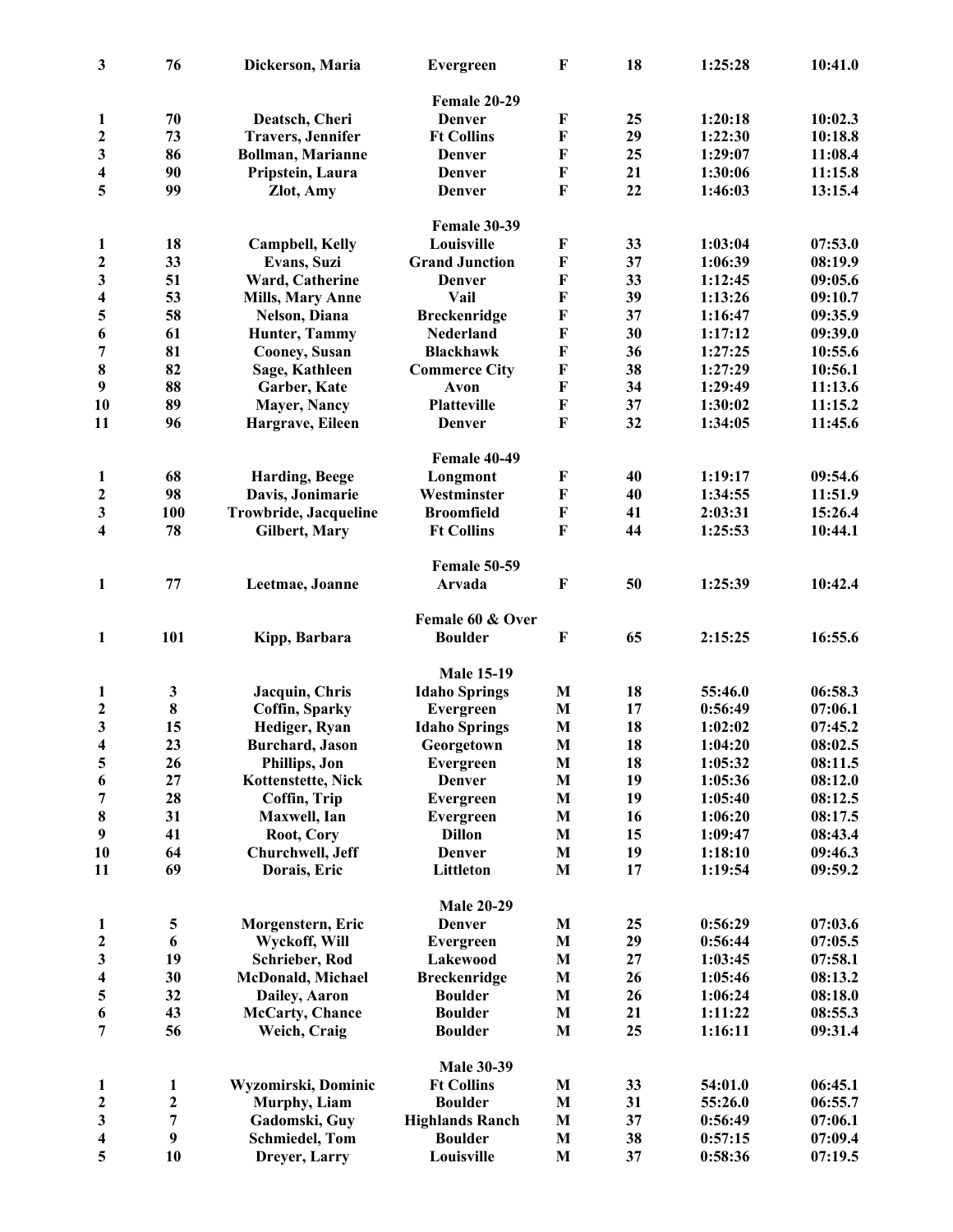| $\mathbf{3}$            | 76                      | Dickerson, Maria          | <b>Evergreen</b>       | F            | 18 | 1:25:28 | 10:41.0 |
|-------------------------|-------------------------|---------------------------|------------------------|--------------|----|---------|---------|
|                         |                         |                           | Female 20-29           |              |    |         |         |
| $\mathbf{1}$            | 70                      | Deatsch, Cheri            | Denver                 | $\bf F$      | 25 | 1:20:18 | 10:02.3 |
| $\boldsymbol{2}$        | 73                      | <b>Travers</b> , Jennifer | <b>Ft Collins</b>      | $\mathbf{F}$ | 29 | 1:22:30 | 10:18.8 |
| 3                       | 86                      | <b>Bollman, Marianne</b>  | Denver                 | $\mathbf{F}$ | 25 | 1:29:07 | 11:08.4 |
| 4                       | 90                      | Pripstein, Laura          | <b>Denver</b>          | $\mathbf F$  | 21 | 1:30:06 | 11:15.8 |
| 5                       | 99                      | Zlot, Amy                 | <b>Denver</b>          | F            | 22 | 1:46:03 | 13:15.4 |
|                         |                         |                           | <b>Female 30-39</b>    |              |    |         |         |
| 1                       | 18                      | <b>Campbell, Kelly</b>    | Louisville             | F            | 33 | 1:03:04 | 07:53.0 |
| $\boldsymbol{2}$        | 33                      | Evans, Suzi               | <b>Grand Junction</b>  | $\mathbf F$  | 37 | 1:06:39 | 08:19.9 |
| 3                       | 51                      | Ward, Catherine           | <b>Denver</b>          | $\mathbf F$  | 33 | 1:12:45 | 09:05.6 |
| $\overline{\mathbf{4}}$ | 53                      | <b>Mills, Mary Anne</b>   | Vail                   | $\mathbf F$  | 39 | 1:13:26 | 09:10.7 |
| 5                       | 58                      | Nelson, Diana             | <b>Breckenridge</b>    | $\mathbf F$  | 37 | 1:16:47 | 09:35.9 |
|                         | 61                      |                           |                        | $\mathbf F$  | 30 |         | 09:39.0 |
| 6                       |                         | Hunter, Tammy             | Nederland              |              |    | 1:17:12 |         |
| 7                       | 81                      | Cooney, Susan             | <b>Blackhawk</b>       | $\mathbf F$  | 36 | 1:27:25 | 10:55.6 |
| 8                       | 82                      | Sage, Kathleen            | <b>Commerce City</b>   | $\mathbf F$  | 38 | 1:27:29 | 10:56.1 |
| 9                       | 88                      | Garber, Kate              | Avon                   | F            | 34 | 1:29:49 | 11:13.6 |
| 10                      | 89                      | <b>Mayer, Nancy</b>       | Platteville            | $\mathbf F$  | 37 | 1:30:02 | 11:15.2 |
| 11                      | 96                      | Hargrave, Eileen          | <b>Denver</b>          | $\mathbf{F}$ | 32 | 1:34:05 | 11:45.6 |
|                         |                         |                           | Female 40-49           |              |    |         |         |
| $\mathbf{1}$            | 68                      | <b>Harding, Beege</b>     | Longmont               | ${\bf F}$    | 40 | 1:19:17 | 09:54.6 |
| $\boldsymbol{2}$        | 98                      | Davis, Jonimarie          | Westminster            | $\mathbf F$  | 40 | 1:34:55 | 11:51.9 |
| 3                       | 100                     | Trowbride, Jacqueline     | <b>Broomfield</b>      | $\mathbf F$  | 41 | 2:03:31 | 15:26.4 |
| $\overline{\mathbf{4}}$ | 78                      | Gilbert, Mary             | <b>Ft Collins</b>      | $\mathbf{F}$ | 44 | 1:25:53 | 10:44.1 |
|                         |                         |                           | <b>Female 50-59</b>    |              |    |         |         |
| $\mathbf{1}$            | 77                      | Leetmae, Joanne           | Arvada                 | $\bf F$      | 50 | 1:25:39 | 10:42.4 |
|                         |                         |                           | Female 60 & Over       |              |    |         |         |
| $\mathbf{1}$            | 101                     | Kipp, Barbara             | <b>Boulder</b>         | $\bf F$      | 65 | 2:15:25 | 16:55.6 |
|                         |                         |                           | <b>Male 15-19</b>      |              |    |         |         |
| $\mathbf{1}$            | 3                       | Jacquin, Chris            | <b>Idaho Springs</b>   | M            | 18 | 55:46.0 | 06:58.3 |
| $\boldsymbol{2}$        | 8                       | <b>Coffin, Sparky</b>     | Evergreen              | M            | 17 | 0:56:49 | 07:06.1 |
| $\overline{\mathbf{3}}$ | 15                      | Hediger, Ryan             | <b>Idaho Springs</b>   | M            | 18 | 1:02:02 | 07:45.2 |
| $\overline{\mathbf{4}}$ | 23                      | <b>Burchard</b> , Jason   | Georgetown             | M            | 18 | 1:04:20 | 08:02.5 |
| 5                       | 26                      | Phillips, Jon             | <b>Evergreen</b>       | M            | 18 | 1:05:32 | 08:11.5 |
| 6                       | 27                      | Kottenstette, Nick        | <b>Denver</b>          | M            | 19 | 1:05:36 | 08:12.0 |
| 7                       | 28                      | Coffin, Trip              | <b>Evergreen</b>       | M            | 19 | 1:05:40 | 08:12.5 |
| 8                       | 31                      | Maxwell, Ian              | Evergreen              | M            | 16 | 1:06:20 | 08:17.5 |
| 9                       | 41                      | Root, Cory                | <b>Dillon</b>          | $\mathbf{M}$ | 15 | 1:09:47 | 08:43.4 |
| 10                      | 64                      | Churchwell, Jeff          | <b>Denver</b>          | M            | 19 | 1:18:10 | 09:46.3 |
| 11                      | 69                      | Dorais, Eric              | Littleton              | M            | 17 | 1:19:54 | 09:59.2 |
|                         |                         |                           | <b>Male 20-29</b>      |              |    |         |         |
| 1                       | $\overline{\mathbf{5}}$ | Morgenstern, Eric         | <b>Denver</b>          | M            | 25 | 0:56:29 | 07:03.6 |
| $\boldsymbol{2}$        | 6                       | Wyckoff, Will             | Evergreen              | M            | 29 | 0:56:44 | 07:05.5 |
| 3                       | 19                      | Schrieber, Rod            | Lakewood               | M            | 27 | 1:03:45 | 07:58.1 |
|                         |                         |                           |                        |              |    |         |         |
| $\overline{\mathbf{4}}$ | 30                      | <b>McDonald, Michael</b>  | <b>Breckenridge</b>    | M            | 26 | 1:05:46 | 08:13.2 |
| 5                       | 32                      | Dailey, Aaron             | <b>Boulder</b>         | M            | 26 | 1:06:24 | 08:18.0 |
| 6                       | 43                      | McCarty, Chance           | <b>Boulder</b>         | M            | 21 | 1:11:22 | 08:55.3 |
| 7                       | 56                      | Weich, Craig              | <b>Boulder</b>         | M            | 25 | 1:16:11 | 09:31.4 |
|                         |                         |                           | <b>Male 30-39</b>      |              |    |         |         |
| $\mathbf{1}$            | $\mathbf{1}$            | Wyzomirski, Dominic       | <b>Ft Collins</b>      | $\mathbf{M}$ | 33 | 54:01.0 | 06:45.1 |
| $\boldsymbol{2}$        | $\boldsymbol{2}$        | Murphy, Liam              | <b>Boulder</b>         | M            | 31 | 55:26.0 | 06:55.7 |
| 3                       | 7                       | Gadomski, Guy             | <b>Highlands Ranch</b> | M            | 37 | 0:56:49 | 07:06.1 |
| 4                       | $\boldsymbol{9}$        | <b>Schmiedel</b> , Tom    | <b>Boulder</b>         | M            | 38 | 0:57:15 | 07:09.4 |
| 5                       | 10                      | Dreyer, Larry             | Louisville             | $\mathbf{M}$ | 37 | 0:58:36 | 07:19.5 |